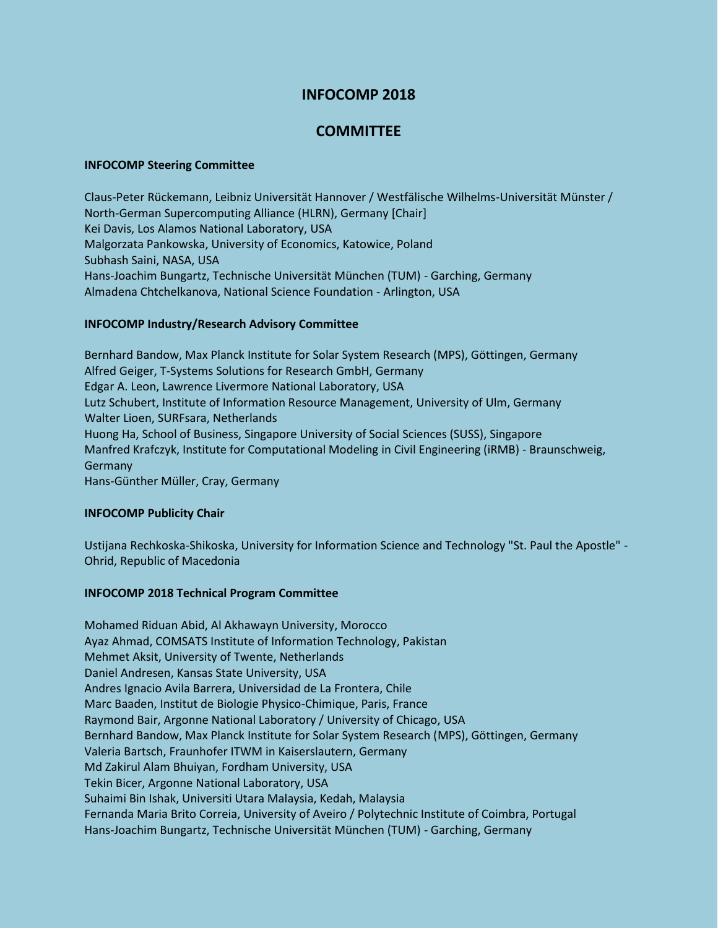# **INFOCOMP 2018**

# **COMMITTEE**

### **INFOCOMP Steering Committee**

Claus-Peter Rückemann, Leibniz Universität Hannover / Westfälische Wilhelms-Universität Münster / North-German Supercomputing Alliance (HLRN), Germany [Chair] Kei Davis, Los Alamos National Laboratory, USA Malgorzata Pankowska, University of Economics, Katowice, Poland Subhash Saini, NASA, USA Hans-Joachim Bungartz, Technische Universität München (TUM) - Garching, Germany Almadena Chtchelkanova, National Science Foundation - Arlington, USA

## **INFOCOMP Industry/Research Advisory Committee**

Bernhard Bandow, Max Planck Institute for Solar System Research (MPS), Göttingen, Germany Alfred Geiger, T-Systems Solutions for Research GmbH, Germany Edgar A. Leon, Lawrence Livermore National Laboratory, USA Lutz Schubert, Institute of Information Resource Management, University of Ulm, Germany Walter Lioen, SURFsara, Netherlands Huong Ha, School of Business, Singapore University of Social Sciences (SUSS), Singapore Manfred Krafczyk, Institute for Computational Modeling in Civil Engineering (iRMB) - Braunschweig, Germany Hans-Günther Müller, Cray, Germany

### **INFOCOMP Publicity Chair**

Ustijana Rechkoska-Shikoska, University for Information Science and Technology "St. Paul the Apostle" - Ohrid, Republic of Macedonia

### **INFOCOMP 2018 Technical Program Committee**

Mohamed Riduan Abid, Al Akhawayn University, Morocco Ayaz Ahmad, COMSATS Institute of Information Technology, Pakistan Mehmet Aksit, University of Twente, Netherlands Daniel Andresen, Kansas State University, USA Andres Ignacio Avila Barrera, Universidad de La Frontera, Chile Marc Baaden, Institut de Biologie Physico-Chimique, Paris, France Raymond Bair, Argonne National Laboratory / University of Chicago, USA Bernhard Bandow, Max Planck Institute for Solar System Research (MPS), Göttingen, Germany Valeria Bartsch, Fraunhofer ITWM in Kaiserslautern, Germany Md Zakirul Alam Bhuiyan, Fordham University, USA Tekin Bicer, Argonne National Laboratory, USA Suhaimi Bin Ishak, Universiti Utara Malaysia, Kedah, Malaysia Fernanda Maria Brito Correia, University of Aveiro / Polytechnic Institute of Coimbra, Portugal Hans-Joachim Bungartz, Technische Universität München (TUM) - Garching, Germany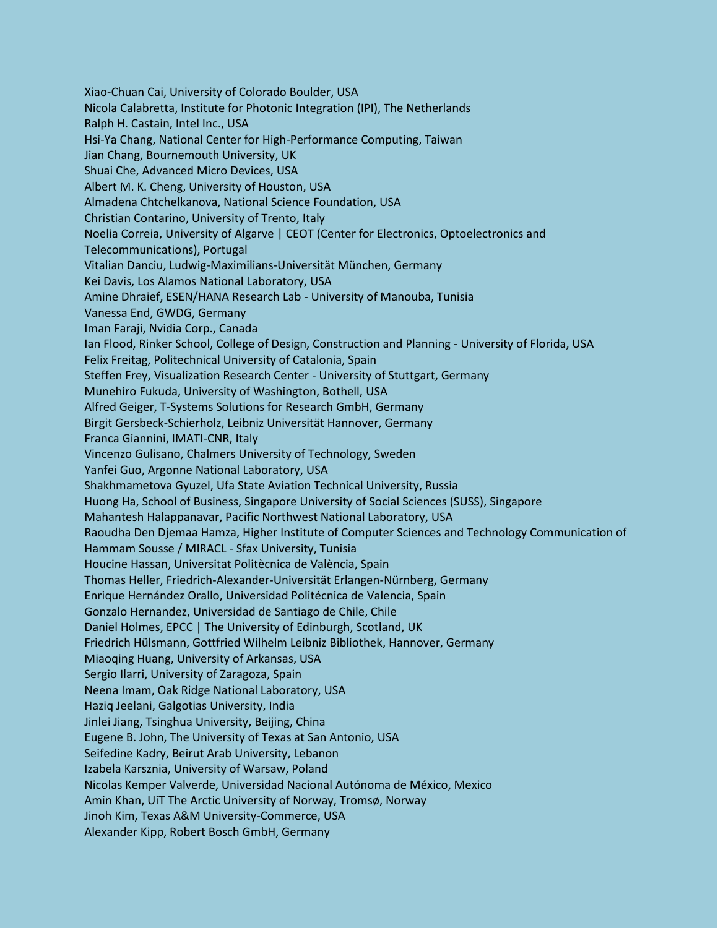Xiao-Chuan Cai, University of Colorado Boulder, USA Nicola Calabretta, Institute for Photonic Integration (IPI), The Netherlands Ralph H. Castain, Intel Inc., USA Hsi-Ya Chang, National Center for High-Performance Computing, Taiwan Jian Chang, Bournemouth University, UK Shuai Che, Advanced Micro Devices, USA Albert M. K. Cheng, University of Houston, USA Almadena Chtchelkanova, National Science Foundation, USA Christian Contarino, University of Trento, Italy Noelia Correia, University of Algarve | CEOT (Center for Electronics, Optoelectronics and Telecommunications), Portugal Vitalian Danciu, Ludwig-Maximilians-Universität München, Germany Kei Davis, Los Alamos National Laboratory, USA Amine Dhraief, ESEN/HANA Research Lab - University of Manouba, Tunisia Vanessa End, GWDG, Germany Iman Faraji, Nvidia Corp., Canada Ian Flood, Rinker School, College of Design, Construction and Planning - University of Florida, USA Felix Freitag, Politechnical University of Catalonia, Spain Steffen Frey, Visualization Research Center - University of Stuttgart, Germany Munehiro Fukuda, University of Washington, Bothell, USA Alfred Geiger, T-Systems Solutions for Research GmbH, Germany Birgit Gersbeck-Schierholz, Leibniz Universität Hannover, Germany Franca Giannini, IMATI-CNR, Italy Vincenzo Gulisano, Chalmers University of Technology, Sweden Yanfei Guo, Argonne National Laboratory, USA Shakhmametova Gyuzel, Ufa State Aviation Technical University, Russia Huong Ha, School of Business, Singapore University of Social Sciences (SUSS), Singapore Mahantesh Halappanavar, Pacific Northwest National Laboratory, USA Raoudha Den Djemaa Hamza, Higher Institute of Computer Sciences and Technology Communication of Hammam Sousse / MIRACL - Sfax University, Tunisia Houcine Hassan, Universitat Politècnica de València, Spain Thomas Heller, Friedrich-Alexander-Universität Erlangen-Nürnberg, Germany Enrique Hernández Orallo, Universidad Politécnica de Valencia, Spain Gonzalo Hernandez, Universidad de Santiago de Chile, Chile Daniel Holmes, EPCC | The University of Edinburgh, Scotland, UK Friedrich Hülsmann, Gottfried Wilhelm Leibniz Bibliothek, Hannover, Germany Miaoqing Huang, University of Arkansas, USA Sergio Ilarri, University of Zaragoza, Spain Neena Imam, Oak Ridge National Laboratory, USA Haziq Jeelani, Galgotias University, India Jinlei Jiang, Tsinghua University, Beijing, China Eugene B. John, The University of Texas at San Antonio, USA Seifedine Kadry, Beirut Arab University, Lebanon Izabela Karsznia, University of Warsaw, Poland Nicolas Kemper Valverde, Universidad Nacional Autónoma de México, Mexico Amin Khan, UiT The Arctic University of Norway, Tromsø, Norway Jinoh Kim, Texas A&M University-Commerce, USA Alexander Kipp, Robert Bosch GmbH, Germany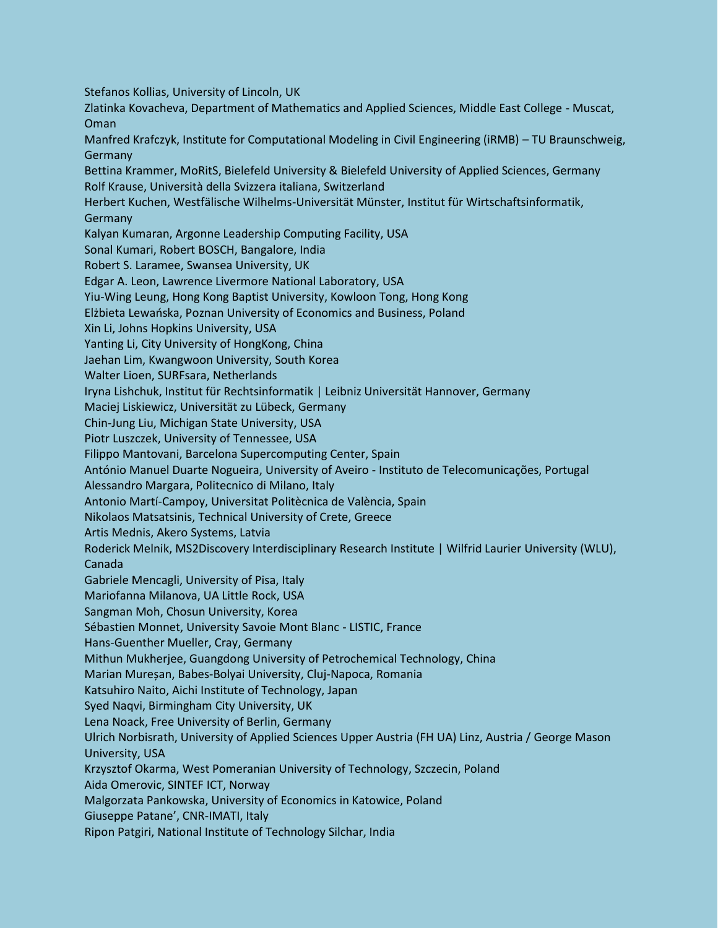Stefanos Kollias, University of Lincoln, UK

Zlatinka Kovacheva, Department of Mathematics and Applied Sciences, Middle East College - Muscat, Oman

Manfred Krafczyk, Institute for Computational Modeling in Civil Engineering (iRMB) – TU Braunschweig, Germany

Bettina Krammer, MoRitS, Bielefeld University & Bielefeld University of Applied Sciences, Germany Rolf Krause, Università della Svizzera italiana, Switzerland

Herbert Kuchen, Westfälische Wilhelms-Universität Münster, Institut für Wirtschaftsinformatik, Germany

Kalyan Kumaran, Argonne Leadership Computing Facility, USA

Sonal Kumari, Robert BOSCH, Bangalore, India

Robert S. Laramee, Swansea University, UK

Edgar A. Leon, Lawrence Livermore National Laboratory, USA

Yiu-Wing Leung, Hong Kong Baptist University, Kowloon Tong, Hong Kong

Elżbieta Lewańska, Poznan University of Economics and Business, Poland

Xin Li, Johns Hopkins University, USA

Yanting Li, City University of HongKong, China

Jaehan Lim, Kwangwoon University, South Korea

Walter Lioen, SURFsara, Netherlands

Iryna Lishchuk, Institut für Rechtsinformatik | Leibniz Universität Hannover, Germany

Maciej Liskiewicz, Universität zu Lübeck, Germany

Chin-Jung Liu, Michigan State University, USA

Piotr Luszczek, University of Tennessee, USA

Filippo Mantovani, Barcelona Supercomputing Center, Spain

António Manuel Duarte Nogueira, University of Aveiro - Instituto de Telecomunicações, Portugal

Alessandro Margara, Politecnico di Milano, Italy

Antonio Martí-Campoy, Universitat Politècnica de València, Spain

Nikolaos Matsatsinis, Technical University of Crete, Greece

Artis Mednis, Akero Systems, Latvia

Roderick Melnik, MS2Discovery Interdisciplinary Research Institute | Wilfrid Laurier University (WLU), Canada

Gabriele Mencagli, University of Pisa, Italy

Mariofanna Milanova, UA Little Rock, USA

Sangman Moh, Chosun University, Korea

Sébastien Monnet, University Savoie Mont Blanc - LISTIC, France

Hans-Guenther Mueller, Cray, Germany

Mithun Mukherjee, Guangdong University of Petrochemical Technology, China

Marian Mureșan, Babes-Bolyai University, Cluj-Napoca, Romania

Katsuhiro Naito, Aichi Institute of Technology, Japan

Syed Naqvi, Birmingham City University, UK

Lena Noack, Free University of Berlin, Germany

Ulrich Norbisrath, University of Applied Sciences Upper Austria (FH UA) Linz, Austria / George Mason University, USA

Krzysztof Okarma, West Pomeranian University of Technology, Szczecin, Poland

Aida Omerovic, SINTEF ICT, Norway

Malgorzata Pankowska, University of Economics in Katowice, Poland

Giuseppe Patane', CNR-IMATI, Italy

Ripon Patgiri, National Institute of Technology Silchar, India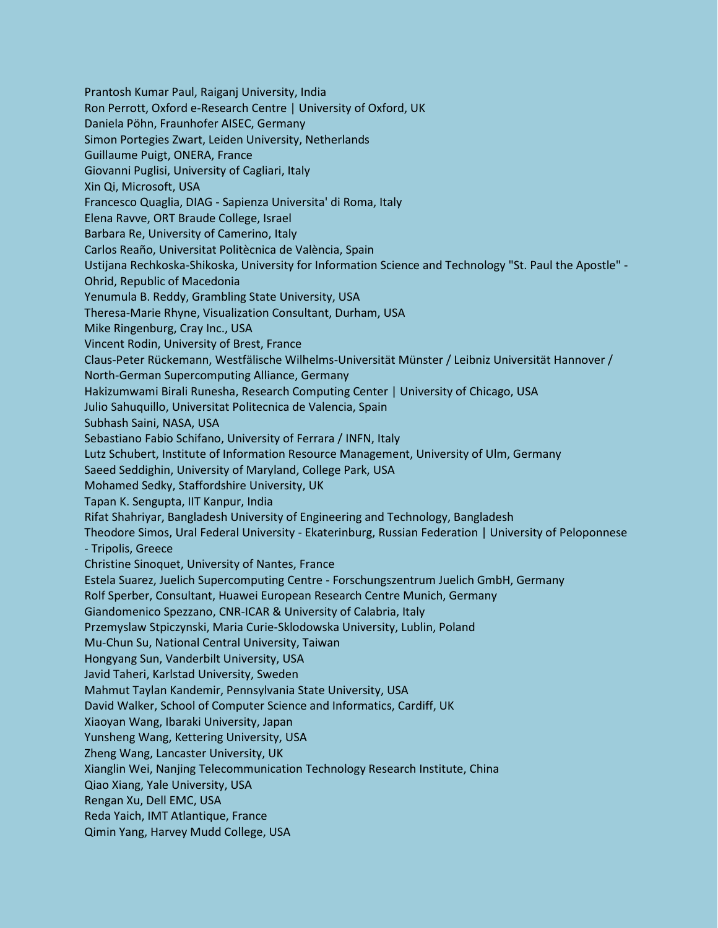Prantosh Kumar Paul, Raiganj University, India Ron Perrott, Oxford e-Research Centre | University of Oxford, UK Daniela Pöhn, Fraunhofer AISEC, Germany Simon Portegies Zwart, Leiden University, Netherlands Guillaume Puigt, ONERA, France Giovanni Puglisi, University of Cagliari, Italy Xin Qi, Microsoft, USA Francesco Quaglia, DIAG - Sapienza Universita' di Roma, Italy Elena Ravve, ORT Braude College, Israel Barbara Re, University of Camerino, Italy Carlos Reaño, Universitat Politècnica de València, Spain Ustijana Rechkoska-Shikoska, University for Information Science and Technology "St. Paul the Apostle" - Ohrid, Republic of Macedonia Yenumula B. Reddy, Grambling State University, USA Theresa-Marie Rhyne, Visualization Consultant, Durham, USA Mike Ringenburg, Cray Inc., USA Vincent Rodin, University of Brest, France Claus-Peter Rückemann, Westfälische Wilhelms-Universität Münster / Leibniz Universität Hannover / North-German Supercomputing Alliance, Germany Hakizumwami Birali Runesha, Research Computing Center | University of Chicago, USA Julio Sahuquillo, Universitat Politecnica de Valencia, Spain Subhash Saini, NASA, USA Sebastiano Fabio Schifano, University of Ferrara / INFN, Italy Lutz Schubert, Institute of Information Resource Management, University of Ulm, Germany Saeed Seddighin, University of Maryland, College Park, USA Mohamed Sedky, Staffordshire University, UK Tapan K. Sengupta, IIT Kanpur, India Rifat Shahriyar, Bangladesh University of Engineering and Technology, Bangladesh Theodore Simos, Ural Federal University - Ekaterinburg, Russian Federation | University of Peloponnese - Tripolis, Greece Christine Sinoquet, University of Nantes, France Estela Suarez, Juelich Supercomputing Centre - Forschungszentrum Juelich GmbH, Germany Rolf Sperber, Consultant, Huawei European Research Centre Munich, Germany Giandomenico Spezzano, CNR-ICAR & University of Calabria, Italy Przemyslaw Stpiczynski, Maria Curie-Sklodowska University, Lublin, Poland Mu-Chun Su, National Central University, Taiwan Hongyang Sun, Vanderbilt University, USA Javid Taheri, Karlstad University, Sweden Mahmut Taylan Kandemir, Pennsylvania State University, USA David Walker, School of Computer Science and Informatics, Cardiff, UK Xiaoyan Wang, Ibaraki University, Japan Yunsheng Wang, Kettering University, USA Zheng Wang, Lancaster University, UK Xianglin Wei, Nanjing Telecommunication Technology Research Institute, China Qiao Xiang, Yale University, USA Rengan Xu, Dell EMC, USA Reda Yaich, IMT Atlantique, France Qimin Yang, Harvey Mudd College, USA